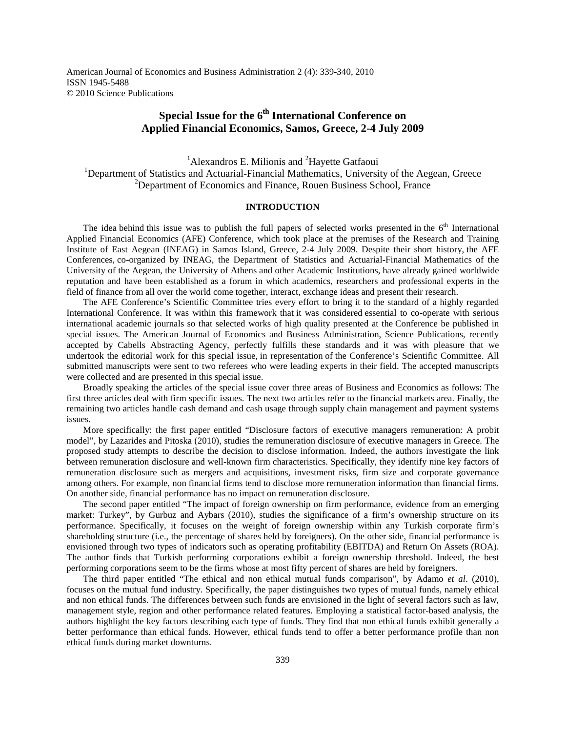American Journal of Economics and Business Administration 2 (4): 339-340, 2010 ISSN 1945-5488 © 2010 Science Publications

## **Special Issue for the 6th International Conference on Applied Financial Economics, Samos, Greece, 2-4 July 2009**

<sup>1</sup>Alexandros E. Milionis and <sup>2</sup>Hayette Gatfaoui <sup>1</sup>Department of Statistics and Actuarial-Financial Mathematics, University of the Aegean, Greece <sup>2</sup>Department of Economics and Finance, Rouen Business School, France

## **INTRODUCTION**

The idea behind this issue was to publish the full papers of selected works presented in the  $6<sup>th</sup>$  International Applied Financial Economics (AFE) Conference, which took place at the premises of the Research and Training Institute of East Aegean (INEAG) in Samos Island, Greece, 2-4 July 2009. Despite their short history, the AFE Conferences, co-organized by INEAG, the Department of Statistics and Actuarial-Financial Mathematics of the University of the Aegean, the University of Athens and other Academic Institutions, have already gained worldwide reputation and have been established as a forum in which academics, researchers and professional experts in the field of finance from all over the world come together, interact, exchange ideas and present their research.

 The AFE Conference's Scientific Committee tries every effort to bring it to the standard of a highly regarded International Conference. It was within this framework that it was considered essential to co-operate with serious international academic journals so that selected works of high quality presented at the Conference be published in special issues. The American Journal of Economics and Business Administration, Science Publications, recently accepted by Cabells Abstracting Agency, perfectly fulfills these standards and it was with pleasure that we undertook the editorial work for this special issue, in representation of the Conference's Scientific Committee. All submitted manuscripts were sent to two referees who were leading experts in their field. The accepted manuscripts were collected and are presented in this special issue.

 Broadly speaking the articles of the special issue cover three areas of Business and Economics as follows: The first three articles deal with firm specific issues. The next two articles refer to the financial markets area. Finally, the remaining two articles handle cash demand and cash usage through supply chain management and payment systems issues.

 More specifically: the first paper entitled "Disclosure factors of executive managers remuneration: A probit model", by Lazarides and Pitoska (2010), studies the remuneration disclosure of executive managers in Greece. The proposed study attempts to describe the decision to disclose information. Indeed, the authors investigate the link between remuneration disclosure and well-known firm characteristics. Specifically, they identify nine key factors of remuneration disclosure such as mergers and acquisitions, investment risks, firm size and corporate governance among others. For example, non financial firms tend to disclose more remuneration information than financial firms. On another side, financial performance has no impact on remuneration disclosure.

 The second paper entitled "The impact of foreign ownership on firm performance, evidence from an emerging market: Turkey", by Gurbuz and Aybars (2010), studies the significance of a firm's ownership structure on its performance. Specifically, it focuses on the weight of foreign ownership within any Turkish corporate firm's shareholding structure (i.e., the percentage of shares held by foreigners). On the other side, financial performance is envisioned through two types of indicators such as operating profitability (EBITDA) and Return On Assets (ROA). The author finds that Turkish performing corporations exhibit a foreign ownership threshold. Indeed, the best performing corporations seem to be the firms whose at most fifty percent of shares are held by foreigners.

 The third paper entitled "The ethical and non ethical mutual funds comparison", by Adamo *et al*. (2010), focuses on the mutual fund industry. Specifically, the paper distinguishes two types of mutual funds, namely ethical and non ethical funds. The differences between such funds are envisioned in the light of several factors such as law, management style, region and other performance related features. Employing a statistical factor-based analysis, the authors highlight the key factors describing each type of funds. They find that non ethical funds exhibit generally a better performance than ethical funds. However, ethical funds tend to offer a better performance profile than non ethical funds during market downturns.